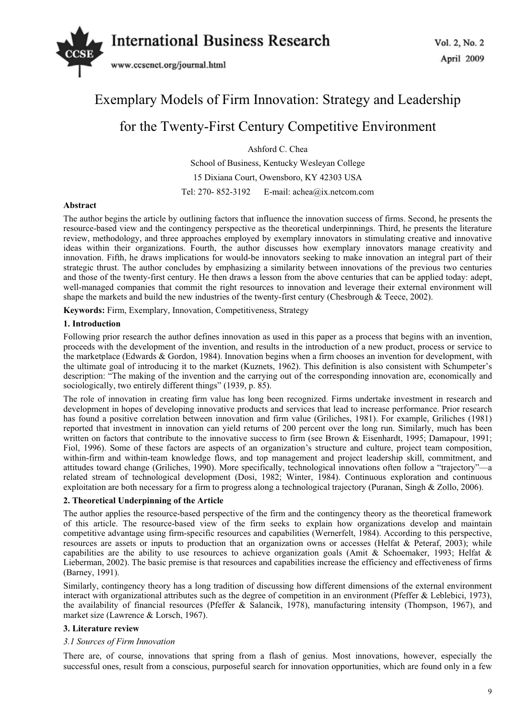

# Exemplary Models of Firm Innovation: Strategy and Leadership for the Twenty-First Century Competitive Environment

Ashford C. Chea

School of Business, Kentucky Wesleyan College

15 Dixiana Court, Owensboro, KY 42303 USA

Tel: 270- 852-3192 E-mail: achea@ix.netcom.com

### **Abstract**

The author begins the article by outlining factors that influence the innovation success of firms. Second, he presents the resource-based view and the contingency perspective as the theoretical underpinnings. Third, he presents the literature review, methodology, and three approaches employed by exemplary innovators in stimulating creative and innovative ideas within their organizations. Fourth, the author discusses how exemplary innovators manage creativity and innovation. Fifth, he draws implications for would-be innovators seeking to make innovation an integral part of their strategic thrust. The author concludes by emphasizing a similarity between innovations of the previous two centuries and those of the twenty-first century. He then draws a lesson from the above centuries that can be applied today: adept, well-managed companies that commit the right resources to innovation and leverage their external environment will shape the markets and build the new industries of the twenty-first century (Chesbrough & Teece, 2002).

**Keywords:** Firm, Exemplary, Innovation, Competitiveness, Strategy

### **1. Introduction**

Following prior research the author defines innovation as used in this paper as a process that begins with an invention, proceeds with the development of the invention, and results in the introduction of a new product, process or service to the marketplace (Edwards & Gordon, 1984). Innovation begins when a firm chooses an invention for development, with the ultimate goal of introducing it to the market (Kuznets, 1962). This definition is also consistent with Schumpeter's description: "The making of the invention and the carrying out of the corresponding innovation are, economically and sociologically, two entirely different things" (1939, p. 85).

The role of innovation in creating firm value has long been recognized. Firms undertake investment in research and development in hopes of developing innovative products and services that lead to increase performance. Prior research has found a positive correlation between innovation and firm value (Griliches, 1981). For example, Griliches (1981) reported that investment in innovation can yield returns of 200 percent over the long run. Similarly, much has been written on factors that contribute to the innovative success to firm (see Brown & Eisenhardt, 1995; Damapour, 1991; Fiol, 1996). Some of these factors are aspects of an organization's structure and culture, project team composition, within-firm and within-team knowledge flows, and top management and project leadership skill, commitment, and attitudes toward change (Griliches, 1990). More specifically, technological innovations often follow a "trajectory"—a related stream of technological development (Dosi, 1982; Winter, 1984). Continuous exploration and continuous exploitation are both necessary for a firm to progress along a technological trajectory (Puranan, Singh & Zollo, 2006).

### **2. Theoretical Underpinning of the Article**

The author applies the resource-based perspective of the firm and the contingency theory as the theoretical framework of this article. The resource-based view of the firm seeks to explain how organizations develop and maintain competitive advantage using firm-specific resources and capabilities (Wernerfelt, 1984). According to this perspective, resources are assets or inputs to production that an organization owns or accesses (Helfat & Peteraf, 2003); while capabilities are the ability to use resources to achieve organization goals (Amit & Schoemaker, 1993; Helfat & Lieberman, 2002). The basic premise is that resources and capabilities increase the efficiency and effectiveness of firms (Barney, 1991).

Similarly, contingency theory has a long tradition of discussing how different dimensions of the external environment interact with organizational attributes such as the degree of competition in an environment (Pfeffer & Leblebici, 1973), the availability of financial resources (Pfeffer & Salancik, 1978), manufacturing intensity (Thompson, 1967), and market size (Lawrence & Lorsch, 1967).

# **3. Literature review**

### *3.1 Sources of Firm Innovation*

There are, of course, innovations that spring from a flash of genius. Most innovations, however, especially the successful ones, result from a conscious, purposeful search for innovation opportunities, which are found only in a few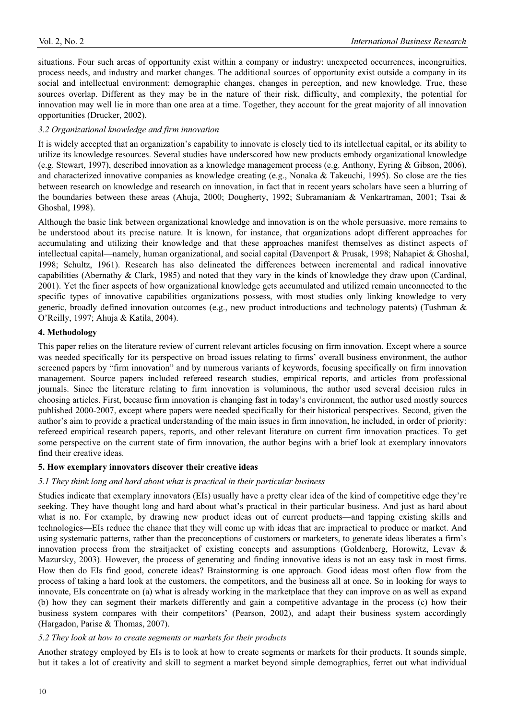situations. Four such areas of opportunity exist within a company or industry: unexpected occurrences, incongruities, process needs, and industry and market changes. The additional sources of opportunity exist outside a company in its social and intellectual environment: demographic changes, changes in perception, and new knowledge. True, these sources overlap. Different as they may be in the nature of their risk, difficulty, and complexity, the potential for innovation may well lie in more than one area at a time. Together, they account for the great majority of all innovation opportunities (Drucker, 2002).

# *3.2 Organizational knowledge and firm innovation*

It is widely accepted that an organization's capability to innovate is closely tied to its intellectual capital, or its ability to utilize its knowledge resources. Several studies have underscored how new products embody organizational knowledge (e.g. Stewart, 1997), described innovation as a knowledge management process (e.g. Anthony, Eyring & Gibson, 2006), and characterized innovative companies as knowledge creating (e.g., Nonaka & Takeuchi, 1995). So close are the ties between research on knowledge and research on innovation, in fact that in recent years scholars have seen a blurring of the boundaries between these areas (Ahuja, 2000; Dougherty, 1992; Subramaniam & Venkartraman, 2001; Tsai & Ghoshal, 1998).

Although the basic link between organizational knowledge and innovation is on the whole persuasive, more remains to be understood about its precise nature. It is known, for instance, that organizations adopt different approaches for accumulating and utilizing their knowledge and that these approaches manifest themselves as distinct aspects of intellectual capital—namely, human organizational, and social capital (Davenport & Prusak, 1998; Nahapiet & Ghoshal, 1998; Schultz, 1961). Research has also delineated the differences between incremental and radical innovative capabilities (Abernathy & Clark, 1985) and noted that they vary in the kinds of knowledge they draw upon (Cardinal, 2001). Yet the finer aspects of how organizational knowledge gets accumulated and utilized remain unconnected to the specific types of innovative capabilities organizations possess, with most studies only linking knowledge to very generic, broadly defined innovation outcomes (e.g., new product introductions and technology patents) (Tushman  $\&$ O'Reilly, 1997; Ahuja & Katila, 2004).

# **4. Methodology**

This paper relies on the literature review of current relevant articles focusing on firm innovation. Except where a source was needed specifically for its perspective on broad issues relating to firms' overall business environment, the author screened papers by "firm innovation" and by numerous variants of keywords, focusing specifically on firm innovation management. Source papers included refereed research studies, empirical reports, and articles from professional journals. Since the literature relating to firm innovation is voluminous, the author used several decision rules in choosing articles. First, because firm innovation is changing fast in today's environment, the author used mostly sources published 2000-2007, except where papers were needed specifically for their historical perspectives. Second, given the author's aim to provide a practical understanding of the main issues in firm innovation, he included, in order of priority: refereed empirical research papers, reports, and other relevant literature on current firm innovation practices. To get some perspective on the current state of firm innovation, the author begins with a brief look at exemplary innovators find their creative ideas.

### **5. How exemplary innovators discover their creative ideas**

# *5.1 They think long and hard about what is practical in their particular business*

Studies indicate that exemplary innovators (EIs) usually have a pretty clear idea of the kind of competitive edge they're seeking. They have thought long and hard about what's practical in their particular business. And just as hard about what is no. For example, by drawing new product ideas out of current products—and tapping existing skills and technologies—EIs reduce the chance that they will come up with ideas that are impractical to produce or market. And using systematic patterns, rather than the preconceptions of customers or marketers, to generate ideas liberates a firm's innovation process from the straitjacket of existing concepts and assumptions (Goldenberg, Horowitz, Levav & Mazursky, 2003). However, the process of generating and finding innovative ideas is not an easy task in most firms. How then do EIs find good, concrete ideas? Brainstorming is one approach. Good ideas most often flow from the process of taking a hard look at the customers, the competitors, and the business all at once. So in looking for ways to innovate, EIs concentrate on (a) what is already working in the marketplace that they can improve on as well as expand (b) how they can segment their markets differently and gain a competitive advantage in the process (c) how their business system compares with their competitors' (Pearson, 2002), and adapt their business system accordingly (Hargadon, Parise & Thomas, 2007).

# *5.2 They look at how to create segments or markets for their products*

Another strategy employed by EIs is to look at how to create segments or markets for their products. It sounds simple, but it takes a lot of creativity and skill to segment a market beyond simple demographics, ferret out what individual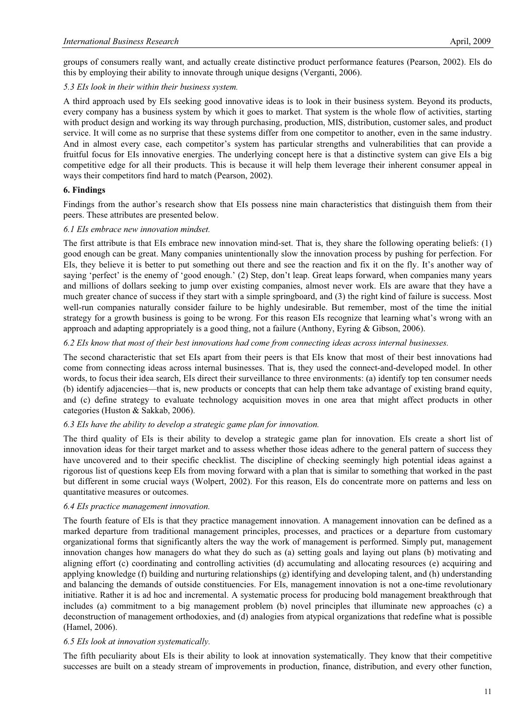## *5.3 EIs look in their within their business system.*

A third approach used by EIs seeking good innovative ideas is to look in their business system. Beyond its products, every company has a business system by which it goes to market. That system is the whole flow of activities, starting with product design and working its way through purchasing, production, MIS, distribution, customer sales, and product service. It will come as no surprise that these systems differ from one competitor to another, even in the same industry. And in almost every case, each competitor's system has particular strengths and vulnerabilities that can provide a fruitful focus for EIs innovative energies. The underlying concept here is that a distinctive system can give EIs a big competitive edge for all their products. This is because it will help them leverage their inherent consumer appeal in ways their competitors find hard to match (Pearson, 2002).

# **6. Findings**

Findings from the author's research show that EIs possess nine main characteristics that distinguish them from their peers. These attributes are presented below.

### *6.1 EIs embrace new innovation mindset.*

The first attribute is that EIs embrace new innovation mind-set. That is, they share the following operating beliefs: (1) good enough can be great. Many companies unintentionally slow the innovation process by pushing for perfection. For EIs, they believe it is better to put something out there and see the reaction and fix it on the fly. It's another way of saying 'perfect' is the enemy of 'good enough.' (2) Step, don't leap. Great leaps forward, when companies many years and millions of dollars seeking to jump over existing companies, almost never work. EIs are aware that they have a much greater chance of success if they start with a simple springboard, and (3) the right kind of failure is success. Most well-run companies naturally consider failure to be highly undesirable. But remember, most of the time the initial strategy for a growth business is going to be wrong. For this reason EIs recognize that learning what's wrong with an approach and adapting appropriately is a good thing, not a failure (Anthony, Eyring & Gibson, 2006).

### *6.2 EIs know that most of their best innovations had come from connecting ideas across internal businesses.*

The second characteristic that set EIs apart from their peers is that EIs know that most of their best innovations had come from connecting ideas across internal businesses. That is, they used the connect-and-developed model. In other words, to focus their idea search, EIs direct their surveillance to three environments: (a) identify top ten consumer needs (b) identify adjacencies—that is, new products or concepts that can help them take advantage of existing brand equity, and (c) define strategy to evaluate technology acquisition moves in one area that might affect products in other categories (Huston & Sakkab, 2006).

### *6.3 EIs have the ability to develop a strategic game plan for innovation.*

The third quality of EIs is their ability to develop a strategic game plan for innovation. EIs create a short list of innovation ideas for their target market and to assess whether those ideas adhere to the general pattern of success they have uncovered and to their specific checklist. The discipline of checking seemingly high potential ideas against a rigorous list of questions keep EIs from moving forward with a plan that is similar to something that worked in the past but different in some crucial ways (Wolpert, 2002). For this reason, EIs do concentrate more on patterns and less on quantitative measures or outcomes.

### *6.4 EIs practice management innovation.*

The fourth feature of EIs is that they practice management innovation. A management innovation can be defined as a marked departure from traditional management principles, processes, and practices or a departure from customary organizational forms that significantly alters the way the work of management is performed. Simply put, management innovation changes how managers do what they do such as (a) setting goals and laying out plans (b) motivating and aligning effort (c) coordinating and controlling activities (d) accumulating and allocating resources (e) acquiring and applying knowledge (f) building and nurturing relationships (g) identifying and developing talent, and (h) understanding and balancing the demands of outside constituencies. For EIs, management innovation is not a one-time revolutionary initiative. Rather it is ad hoc and incremental. A systematic process for producing bold management breakthrough that includes (a) commitment to a big management problem (b) novel principles that illuminate new approaches (c) a deconstruction of management orthodoxies, and (d) analogies from atypical organizations that redefine what is possible (Hamel, 2006).

### *6.5 EIs look at innovation systematically.*

The fifth peculiarity about EIs is their ability to look at innovation systematically. They know that their competitive successes are built on a steady stream of improvements in production, finance, distribution, and every other function,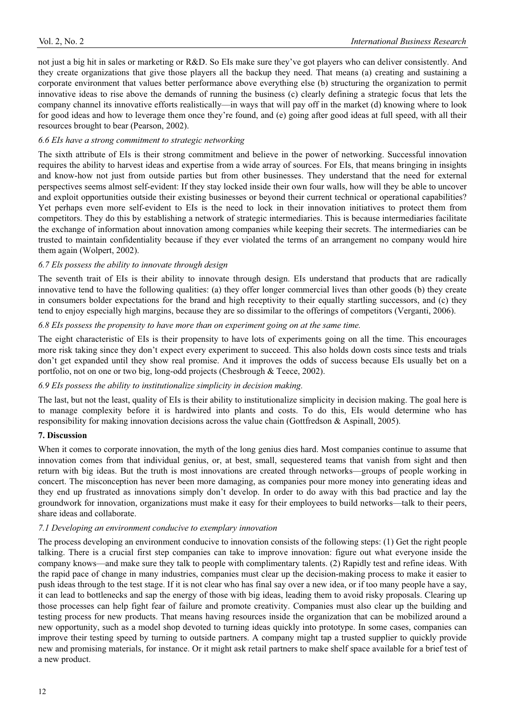not just a big hit in sales or marketing or R&D. So EIs make sure they've got players who can deliver consistently. And they create organizations that give those players all the backup they need. That means (a) creating and sustaining a corporate environment that values better performance above everything else (b) structuring the organization to permit innovative ideas to rise above the demands of running the business (c) clearly defining a strategic focus that lets the company channel its innovative efforts realistically—in ways that will pay off in the market (d) knowing where to look for good ideas and how to leverage them once they're found, and (e) going after good ideas at full speed, with all their resources brought to bear (Pearson, 2002).

## *6.6 EIs have a strong commitment to strategic networking*

The sixth attribute of EIs is their strong commitment and believe in the power of networking. Successful innovation requires the ability to harvest ideas and expertise from a wide array of sources. For EIs, that means bringing in insights and know-how not just from outside parties but from other businesses. They understand that the need for external perspectives seems almost self-evident: If they stay locked inside their own four walls, how will they be able to uncover and exploit opportunities outside their existing businesses or beyond their current technical or operational capabilities? Yet perhaps even more self-evident to EIs is the need to lock in their innovation initiatives to protect them from competitors. They do this by establishing a network of strategic intermediaries. This is because intermediaries facilitate the exchange of information about innovation among companies while keeping their secrets. The intermediaries can be trusted to maintain confidentiality because if they ever violated the terms of an arrangement no company would hire them again (Wolpert, 2002).

## *6.7 Els possess the ability to innovate through design*

The seventh trait of EIs is their ability to innovate through design. EIs understand that products that are radically innovative tend to have the following qualities: (a) they offer longer commercial lives than other goods (b) they create in consumers bolder expectations for the brand and high receptivity to their equally startling successors, and (c) they tend to enjoy especially high margins, because they are so dissimilar to the offerings of competitors (Verganti, 2006).

## *6.8 EIs possess the propensity to have more than on experiment going on at the same time.*

The eight characteristic of EIs is their propensity to have lots of experiments going on all the time. This encourages more risk taking since they don't expect every experiment to succeed. This also holds down costs since tests and trials don't get expanded until they show real promise. And it improves the odds of success because EIs usually bet on a portfolio, not on one or two big, long-odd projects (Chesbrough & Teece, 2002).

# *6.9 EIs possess the ability to institutionalize simplicity in decision making.*

The last, but not the least, quality of EIs is their ability to institutionalize simplicity in decision making. The goal here is to manage complexity before it is hardwired into plants and costs. To do this, EIs would determine who has responsibility for making innovation decisions across the value chain (Gottfredson & Aspinall, 2005).

## **7. Discussion**

When it comes to corporate innovation, the myth of the long genius dies hard. Most companies continue to assume that innovation comes from that individual genius, or, at best, small, sequestered teams that vanish from sight and then return with big ideas. But the truth is most innovations are created through networks—groups of people working in concert. The misconception has never been more damaging, as companies pour more money into generating ideas and they end up frustrated as innovations simply don't develop. In order to do away with this bad practice and lay the groundwork for innovation, organizations must make it easy for their employees to build networks—talk to their peers, share ideas and collaborate.

### *7.1 Developing an environment conducive to exemplary innovation*

The process developing an environment conducive to innovation consists of the following steps: (1) Get the right people talking. There is a crucial first step companies can take to improve innovation: figure out what everyone inside the company knows—and make sure they talk to people with complimentary talents. (2) Rapidly test and refine ideas. With the rapid pace of change in many industries, companies must clear up the decision-making process to make it easier to push ideas through to the test stage. If it is not clear who has final say over a new idea, or if too many people have a say, it can lead to bottlenecks and sap the energy of those with big ideas, leading them to avoid risky proposals. Clearing up those processes can help fight fear of failure and promote creativity. Companies must also clear up the building and testing process for new products. That means having resources inside the organization that can be mobilized around a new opportunity, such as a model shop devoted to turning ideas quickly into prototype. In some cases, companies can improve their testing speed by turning to outside partners. A company might tap a trusted supplier to quickly provide new and promising materials, for instance. Or it might ask retail partners to make shelf space available for a brief test of a new product.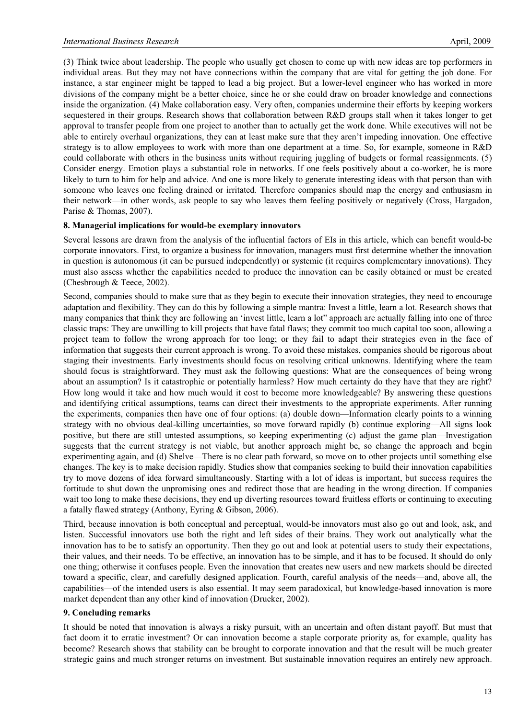(3) Think twice about leadership. The people who usually get chosen to come up with new ideas are top performers in individual areas. But they may not have connections within the company that are vital for getting the job done. For instance, a star engineer might be tapped to lead a big project. But a lower-level engineer who has worked in more divisions of the company might be a better choice, since he or she could draw on broader knowledge and connections inside the organization. (4) Make collaboration easy. Very often, companies undermine their efforts by keeping workers sequestered in their groups. Research shows that collaboration between R&D groups stall when it takes longer to get approval to transfer people from one project to another than to actually get the work done. While executives will not be able to entirely overhaul organizations, they can at least make sure that they aren't impeding innovation. One effective strategy is to allow employees to work with more than one department at a time. So, for example, someone in R&D could collaborate with others in the business units without requiring juggling of budgets or formal reassignments. (5) Consider energy. Emotion plays a substantial role in networks. If one feels positively about a co-worker, he is more likely to turn to him for help and advice. And one is more likely to generate interesting ideas with that person than with someone who leaves one feeling drained or irritated. Therefore companies should map the energy and enthusiasm in their network—in other words, ask people to say who leaves them feeling positively or negatively (Cross, Hargadon, Parise & Thomas, 2007).

#### **8. Managerial implications for would-be exemplary innovators**

Several lessons are drawn from the analysis of the influential factors of EIs in this article, which can benefit would-be corporate innovators. First, to organize a business for innovation, managers must first determine whether the innovation in question is autonomous (it can be pursued independently) or systemic (it requires complementary innovations). They must also assess whether the capabilities needed to produce the innovation can be easily obtained or must be created (Chesbrough & Teece, 2002).

Second, companies should to make sure that as they begin to execute their innovation strategies, they need to encourage adaptation and flexibility. They can do this by following a simple mantra: Invest a little, learn a lot. Research shows that many companies that think they are following an 'invest little, learn a lot" approach are actually falling into one of three classic traps: They are unwilling to kill projects that have fatal flaws; they commit too much capital too soon, allowing a project team to follow the wrong approach for too long; or they fail to adapt their strategies even in the face of information that suggests their current approach is wrong. To avoid these mistakes, companies should be rigorous about staging their investments. Early investments should focus on resolving critical unknowns. Identifying where the team should focus is straightforward. They must ask the following questions: What are the consequences of being wrong about an assumption? Is it catastrophic or potentially harmless? How much certainty do they have that they are right? How long would it take and how much would it cost to become more knowledgeable? By answering these questions and identifying critical assumptions, teams can direct their investments to the appropriate experiments. After running the experiments, companies then have one of four options: (a) double down—Information clearly points to a winning strategy with no obvious deal-killing uncertainties, so move forward rapidly (b) continue exploring—All signs look positive, but there are still untested assumptions, so keeping experimenting (c) adjust the game plan—Investigation suggests that the current strategy is not viable, but another approach might be, so change the approach and begin experimenting again, and (d) Shelve—There is no clear path forward, so move on to other projects until something else changes. The key is to make decision rapidly. Studies show that companies seeking to build their innovation capabilities try to move dozens of idea forward simultaneously. Starting with a lot of ideas is important, but success requires the fortitude to shut down the unpromising ones and redirect those that are heading in the wrong direction. If companies wait too long to make these decisions, they end up diverting resources toward fruitless efforts or continuing to executing a fatally flawed strategy (Anthony, Eyring & Gibson, 2006).

Third, because innovation is both conceptual and perceptual, would-be innovators must also go out and look, ask, and listen. Successful innovators use both the right and left sides of their brains. They work out analytically what the innovation has to be to satisfy an opportunity. Then they go out and look at potential users to study their expectations, their values, and their needs. To be effective, an innovation has to be simple, and it has to be focused. It should do only one thing; otherwise it confuses people. Even the innovation that creates new users and new markets should be directed toward a specific, clear, and carefully designed application. Fourth, careful analysis of the needs—and, above all, the capabilities—of the intended users is also essential. It may seem paradoxical, but knowledge-based innovation is more market dependent than any other kind of innovation (Drucker, 2002).

#### **9. Concluding remarks**

It should be noted that innovation is always a risky pursuit, with an uncertain and often distant payoff. But must that fact doom it to erratic investment? Or can innovation become a staple corporate priority as, for example, quality has become? Research shows that stability can be brought to corporate innovation and that the result will be much greater strategic gains and much stronger returns on investment. But sustainable innovation requires an entirely new approach.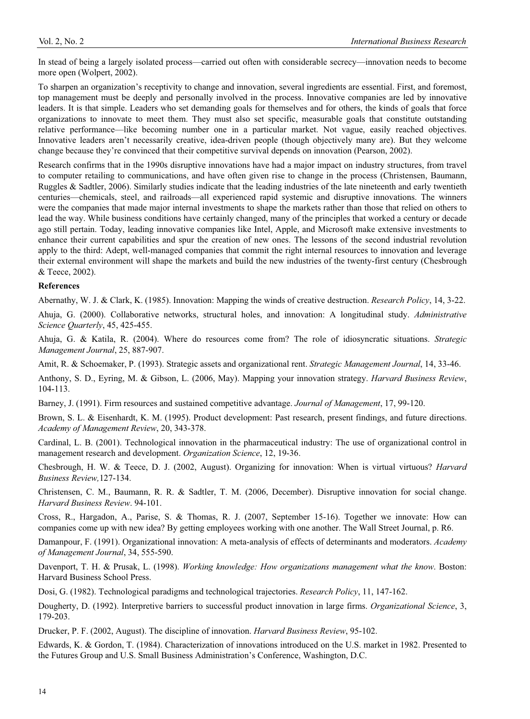In stead of being a largely isolated process—carried out often with considerable secrecy—innovation needs to become more open (Wolpert, 2002).

To sharpen an organization's receptivity to change and innovation, several ingredients are essential. First, and foremost, top management must be deeply and personally involved in the process. Innovative companies are led by innovative leaders. It is that simple. Leaders who set demanding goals for themselves and for others, the kinds of goals that force organizations to innovate to meet them. They must also set specific, measurable goals that constitute outstanding relative performance—like becoming number one in a particular market. Not vague, easily reached objectives. Innovative leaders aren't necessarily creative, idea-driven people (though objectively many are). But they welcome change because they're convinced that their competitive survival depends on innovation (Pearson, 2002).

Research confirms that in the 1990s disruptive innovations have had a major impact on industry structures, from travel to computer retailing to communications, and have often given rise to change in the process (Christensen, Baumann, Ruggles & Sadtler, 2006). Similarly studies indicate that the leading industries of the late nineteenth and early twentieth centuries—chemicals, steel, and railroads—all experienced rapid systemic and disruptive innovations. The winners were the companies that made major internal investments to shape the markets rather than those that relied on others to lead the way. While business conditions have certainly changed, many of the principles that worked a century or decade ago still pertain. Today, leading innovative companies like Intel, Apple, and Microsoft make extensive investments to enhance their current capabilities and spur the creation of new ones. The lessons of the second industrial revolution apply to the third: Adept, well-managed companies that commit the right internal resources to innovation and leverage their external environment will shape the markets and build the new industries of the twenty-first century (Chesbrough & Teece, 2002).

#### **References**

Abernathy, W. J. & Clark, K. (1985). Innovation: Mapping the winds of creative destruction. *Research Policy*, 14, 3-22.

Ahuja, G. (2000). Collaborative networks, structural holes, and innovation: A longitudinal study. *Administrative Science Quarterly*, 45, 425-455.

Ahuja, G. & Katila, R. (2004). Where do resources come from? The role of idiosyncratic situations. *Strategic Management Journal*, 25, 887-907.

Amit, R. & Schoemaker, P. (1993). Strategic assets and organizational rent. *Strategic Management Journal*, 14, 33-46.

Anthony, S. D., Eyring, M. & Gibson, L. (2006, May). Mapping your innovation strategy. *Harvard Business Review*, 104-113.

Barney, J. (1991). Firm resources and sustained competitive advantage. *Journal of Management*, 17, 99-120.

Brown, S. L. & Eisenhardt, K. M. (1995). Product development: Past research, present findings, and future directions. *Academy of Management Review*, 20, 343-378.

Cardinal, L. B. (2001). Technological innovation in the pharmaceutical industry: The use of organizational control in management research and development. *Organization Science*, 12, 19-36.

Chesbrough, H. W. & Teece, D. J. (2002, August). Organizing for innovation: When is virtual virtuous? *Harvard Business Review,*127-134.

Christensen, C. M., Baumann, R. R. & Sadtler, T. M. (2006, December). Disruptive innovation for social change. *Harvard Business Review*. 94-101.

Cross, R., Hargadon, A., Parise, S. & Thomas, R. J. (2007, September 15-16). Together we innovate: How can companies come up with new idea? By getting employees working with one another. The Wall Street Journal, p. R6.

Damanpour, F. (1991). Organizational innovation: A meta-analysis of effects of determinants and moderators. *Academy of Management Journal*, 34, 555-590.

Davenport, T. H. & Prusak, L. (1998). *Working knowledge: How organizations management what the know*. Boston: Harvard Business School Press.

Dosi, G. (1982). Technological paradigms and technological trajectories. *Research Policy*, 11, 147-162.

Dougherty, D. (1992). Interpretive barriers to successful product innovation in large firms. *Organizational Science*, 3, 179-203.

Drucker, P. F. (2002, August). The discipline of innovation. *Harvard Business Review*, 95-102.

Edwards, K. & Gordon, T. (1984). Characterization of innovations introduced on the U.S. market in 1982. Presented to the Futures Group and U.S. Small Business Administration's Conference, Washington, D.C.